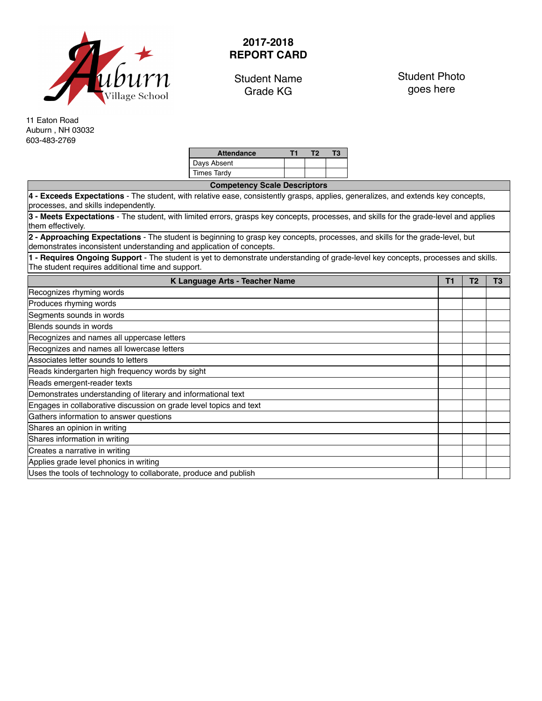

## **2017-2018 REPORT CARD**

Student Name Grade KG

Student Photo goes here

11 Eaton Road Auburn , NH 03032 603-483-2769

| <b>Attendance</b> |  | тз |
|-------------------|--|----|
| Days Absent       |  |    |
| Times Tardy       |  |    |

| <b>Competency Scale Descriptors</b>                                                                                                                                                                   |                |                |                |
|-------------------------------------------------------------------------------------------------------------------------------------------------------------------------------------------------------|----------------|----------------|----------------|
| 4 - Exceeds Expectations - The student, with relative ease, consistently grasps, applies, generalizes, and extends key concepts,<br>processes, and skills independently.                              |                |                |                |
| 3 - Meets Expectations - The student, with limited errors, grasps key concepts, processes, and skills for the grade-level and applies<br>them effectively.                                            |                |                |                |
| 2 - Approaching Expectations - The student is beginning to grasp key concepts, processes, and skills for the grade-level, but<br>demonstrates inconsistent understanding and application of concepts. |                |                |                |
| 1 - Requires Ongoing Support - The student is yet to demonstrate understanding of grade-level key concepts, processes and skills.<br>The student requires additional time and support.                |                |                |                |
| K Language Arts - Teacher Name                                                                                                                                                                        | T <sub>1</sub> | T <sub>2</sub> | T <sub>3</sub> |
| Recognizes rhyming words                                                                                                                                                                              |                |                |                |
| Produces rhyming words                                                                                                                                                                                |                |                |                |
| Segments sounds in words                                                                                                                                                                              |                |                |                |
| Blends sounds in words                                                                                                                                                                                |                |                |                |
| Recognizes and names all uppercase letters                                                                                                                                                            |                |                |                |
| Recognizes and names all lowercase letters                                                                                                                                                            |                |                |                |
| Associates letter sounds to letters                                                                                                                                                                   |                |                |                |
| Reads kindergarten high frequency words by sight                                                                                                                                                      |                |                |                |
| Reads emergent-reader texts                                                                                                                                                                           |                |                |                |
| Demonstrates understanding of literary and informational text                                                                                                                                         |                |                |                |
| Engages in collaborative discussion on grade level topics and text                                                                                                                                    |                |                |                |
| Gathers information to answer questions                                                                                                                                                               |                |                |                |
| Shares an opinion in writing                                                                                                                                                                          |                |                |                |
| Shares information in writing                                                                                                                                                                         |                |                |                |
| Creates a narrative in writing                                                                                                                                                                        |                |                |                |
| Applies grade level phonics in writing                                                                                                                                                                |                |                |                |
| Uses the tools of technology to collaborate, produce and publish                                                                                                                                      |                |                |                |